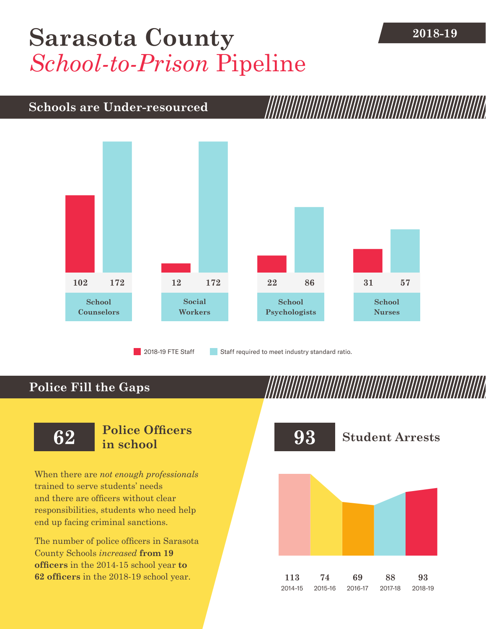## **2018-19 [Sarasota County](DBF_County)** *School-to-Prison* Pipeline

## **Schools are Under-resourced**



2018-19 FTE Staff **Staff required to meet industry standard ratio.** 

## **Police Fill the Gaps**

When there are *not enough professionals* trained to serve students' needs and there are officers without clear responsibilities, students who need help end up facing criminal sanctions.

The number of police officers in [Sarasota](DBF_County)  [County](DBF_County) Schools *increased* **from [19](DBF_PO1415)  officers** in the 2014-15 school year **to [62](DBF_PO) officers** in the 2018-19 school year.